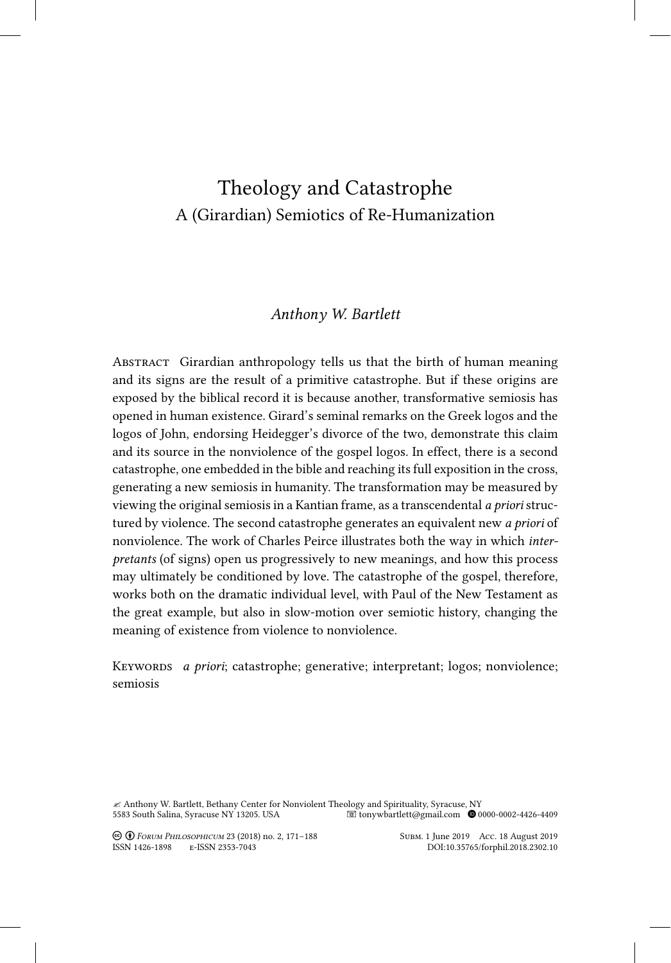# Theology and Catastrophe A (Girardian) Semiotics of Re-Humanization

## *Anthony W. Bartlett*

Abstract Girardian anthropology tells us that the birth of human meaning and its signs are the result of a primitive catastrophe. But if these origins are exposed by the biblical record it is because another, transformative semiosis has opened in human existence. Girard's seminal remarks on the Greek logos and the logos of John, endorsing Heidegger's divorce of the two, demonstrate this claim and its source in the nonviolence of the gospel logos. In effect, there is a second catastrophe, one embedded in the bible and reaching its full exposition in the cross, generating a new semiosis in humanity. The transformation may be measured by viewing the original semiosis in a Kantian frame, as a transcendental *a priori* structured by violence. The second catastrophe generates an equivalent new *a priori* of nonviolence. The work of Charles Peirce illustrates both the way in which *interpretants* (of signs) open us progressively to new meanings, and how this process may ultimately be conditioned by love. The catastrophe of the gospel, therefore, works both on the dramatic individual level, with Paul of the New Testament as the great example, but also in slow‑motion over semiotic history, changing the meaning of existence from violence to nonviolence.

Keywords *a priori*; catastrophe; generative; interpretant; logos; nonviolence; semiosis

 $\approx$  Anthony W. Bartlett, Bethany Center for Nonviolent Theology and Spirituality, Syracuse, NY<br>5583 South Salina, Syracuse NY 13205. USA <br>5583 South Salina, Syracuse NY 13205. USA <br>5583 South Salina, Syracuse NY 13205. U 5583 South Salina, Syracuse NY 13205. USA tonywbartlett@gmail.com 0000-0002-4426-4409

Creative-Commons Creative-Commons-Commons Creative-Commons Creative-Commons Creative-Commons Creative-Commons C<br>COMMONS-BY-COMMONS-BY-COMMONS-BY-COMMONS-COMMONS-COMMONS-COMMONS-COMMONS-COMMONS-COMMONS-COMMONS-COMMONS-COMMO ISSN 1426-1898 E-ISSN 2353-7043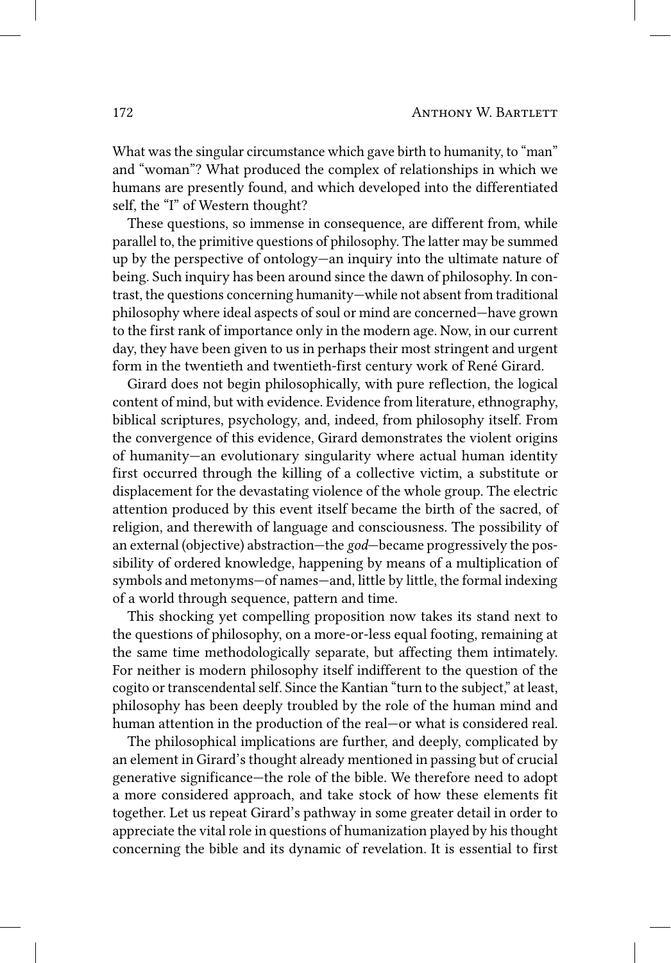What was the singular circumstance which gave birth to humanity, to "man" and "woman"? What produced the complex of relationships in which we humans are presently found, and which developed into the differentiated self, the "I" of Western thought?

These questions, so immense in consequence, are different from, while parallel to, the primitive questions of philosophy. The latter may be summed up by the perspective of ontology—an inquiry into the ultimate nature of being. Such inquiry has been around since the dawn of philosophy. In contrast, the questions concerning humanity—while not absent from traditional philosophy where ideal aspects of soul or mind are concerned—have grown to the first rank of importance only in the modern age. Now, in our current day, they have been given to us in perhaps their most stringent and urgent form in the twentieth and twentieth-first century work of René Girard.

Girard does not begin philosophically, with pure reflection, the logical content of mind, but with evidence. Evidence from literature, ethnography, biblical scriptures, psychology, and, indeed, from philosophy itself. From the convergence of this evidence, Girard demonstrates the violent origins of humanity—an evolutionary singularity where actual human identity first occurred through the killing of a collective victim, a substitute or displacement for the devastating violence of the whole group. The electric attention produced by this event itself became the birth of the sacred, of religion, and therewith of language and consciousness. The possibility of an external (objective) abstraction—the *god*—became progressively the possibility of ordered knowledge, happening by means of a multiplication of symbols and metonyms—of names—and, little by little, the formal indexing of a world through sequence, pattern and time.

This shocking yet compelling proposition now takes its stand next to the questions of philosophy, on a more‑or‑less equal footing, remaining at the same time methodologically separate, but affecting them intimately. For neither is modern philosophy itself indifferent to the question of the cogito or transcendental self. Since the Kantian "turn to the subject," at least, philosophy has been deeply troubled by the role of the human mind and human attention in the production of the real—or what is considered real.

The philosophical implications are further, and deeply, complicated by an element in Girard's thought already mentioned in passing but of crucial generative significance—the role of the bible. We therefore need to adopt a more considered approach, and take stock of how these elements fit together. Let us repeat Girard's pathway in some greater detail in order to appreciate the vital role in questions of humanization played by his thought concerning the bible and its dynamic of revelation. It is essential to first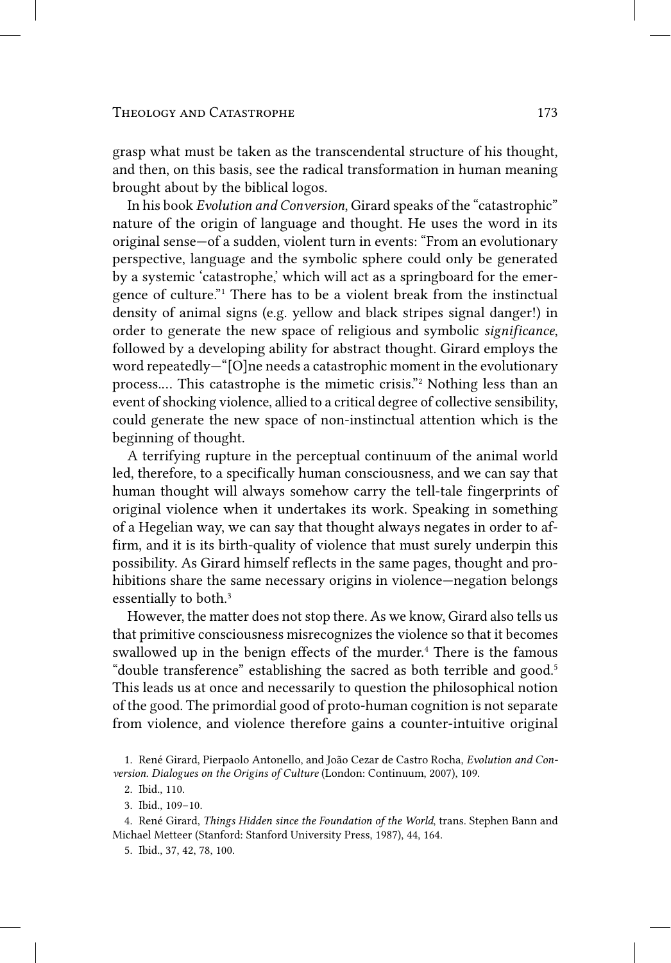grasp what must be taken as the transcendental structure of his thought, and then, on this basis, see the radical transformation in human meaning brought about by the biblical logos.

In his book *Evolution and Conversion*, Girard speaks of the "catastrophic" nature of the origin of language and thought. He uses the word in its original sense—of a sudden, violent turn in events: "From an evolutionary perspective, language and the symbolic sphere could only be generated by a systemic 'catastrophe,' which will act as a springboard for the emergence of culture." 1 There has to be a violent break from the instinctual density of animal signs (e.g. yellow and black stripes signal danger!) in order to generate the new space of religious and symbolic *significance*, followed by a developing ability for abstract thought. Girard employs the word repeatedly—"[O]ne needs a catastrophic moment in the evolutionary process.… This catastrophe is the mimetic crisis." 2 Nothing less than an event of shocking violence, allied to a critical degree of collective sensibility, could generate the new space of non‑instinctual attention which is the beginning of thought.

A terrifying rupture in the perceptual continuum of the animal world led, therefore, to a specifically human consciousness, and we can say that human thought will always somehow carry the tell-tale fingerprints of original violence when it undertakes its work. Speaking in something of a Hegelian way, we can say that thought always negates in order to affirm, and it is its birth-quality of violence that must surely underpin this possibility. As Girard himself reflects in the same pages, thought and prohibitions share the same necessary origins in violence—negation belongs essentially to both.<sup>3</sup>

However, the matter does not stop there. As we know, Girard also tells us that primitive consciousness misrecognizes the violence so that it becomes swallowed up in the benign effects of the murder.<sup>4</sup> There is the famous "double transference" establishing the sacred as both terrible and good. 5 This leads us at once and necessarily to question the philosophical notion of the good. The primordial good of proto‑human cognition is not separate from violence, and violence therefore gains a counter-intuitive original

<sup>1.</sup> René Girard, Pierpaolo Antonello, and João Cezar de Castro Rocha, *Evolution and Conversion. Dialogues on the Origins of Culture* (London: Continuum, 2007), 109.

<sup>2.</sup> Ibid., 110.

<sup>3.</sup> Ibid., 109–10.

<sup>4.</sup> René Girard, *Things Hidden since the Foundation of the World*, trans. Stephen Bann and Michael Metteer (Stanford: Stanford University Press, 1987), 44, 164.

<sup>5.</sup> Ibid., 37, 42, 78, 100.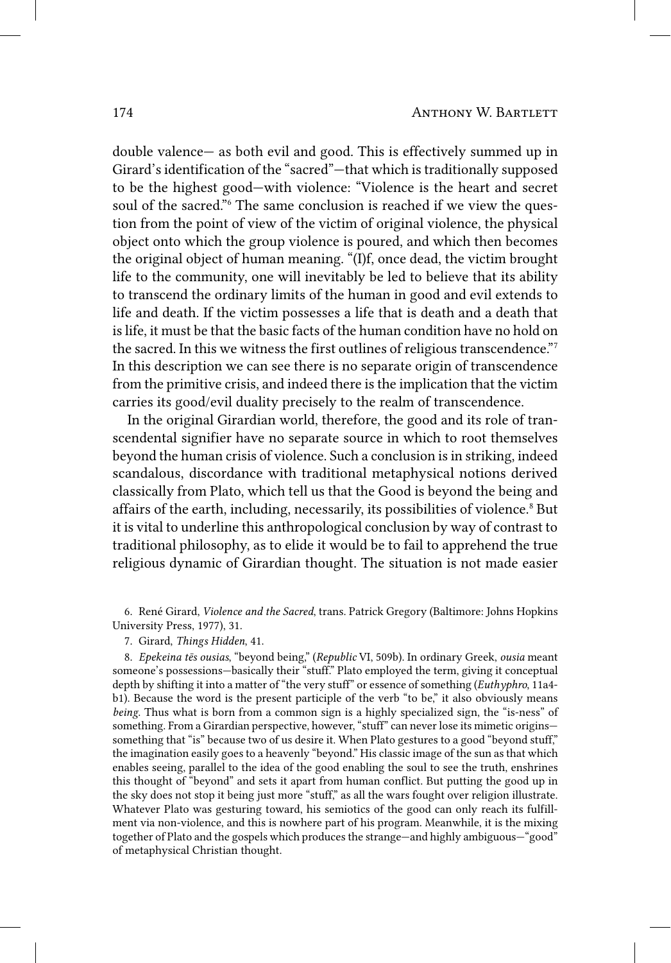double valence— as both evil and good. This is effectively summed up in Girard's identification of the "sacred"—that which is traditionally supposed to be the highest good—with violence: "Violence is the heart and secret soul of the sacred."<sup>6</sup> The same conclusion is reached if we view the question from the point of view of the victim of original violence, the physical object onto which the group violence is poured, and which then becomes the original object of human meaning. "(I)f, once dead, the victim brought life to the community, one will inevitably be led to believe that its ability to transcend the ordinary limits of the human in good and evil extends to life and death. If the victim possesses a life that is death and a death that is life, it must be that the basic facts of the human condition have no hold on the sacred. In this we witness the first outlines of religious transcendence." 7 In this description we can see there is no separate origin of transcendence from the primitive crisis, and indeed there is the implication that the victim carries its good/evil duality precisely to the realm of transcendence.

In the original Girardian world, therefore, the good and its role of transcendental signifier have no separate source in which to root themselves beyond the human crisis of violence. Such a conclusion is in striking, indeed scandalous, discordance with traditional metaphysical notions derived classically from Plato, which tell us that the Good is beyond the being and affairs of the earth, including, necessarily, its possibilities of violence. 8 But it is vital to underline this anthropological conclusion by way of contrast to traditional philosophy, as to elide it would be to fail to apprehend the true religious dynamic of Girardian thought. The situation is not made easier

6. René Girard, *Violence and the Sacred*, trans. Patrick Gregory (Baltimore: Johns Hopkins University Press, 1977), 31.

7. Girard, *Things Hidden*, 41.

8. *Epekeina tēs ousias*, "beyond being," (*Republic* VI, 509b). In ordinary Greek, *ousia* meant someone's possessions—basically their "stuff." Plato employed the term, giving it conceptual depth by shifting it into a matter of "the very stuff" or essence of something (*Euthyphro*, 11a4 b1). Because the word is the present participle of the verb "to be," it also obviously means *being*. Thus what is born from a common sign is a highly specialized sign, the "is‑ness" of something. From a Girardian perspective, however, "stuff" can never lose its mimetic origins something that "is" because two of us desire it. When Plato gestures to a good "beyond stuff," the imagination easily goes to a heavenly "beyond." His classic image of the sun as that which enables seeing, parallel to the idea of the good enabling the soul to see the truth, enshrines this thought of "beyond" and sets it apart from human conflict. But putting the good up in the sky does not stop it being just more "stuff," as all the wars fought over religion illustrate. Whatever Plato was gesturing toward, his semiotics of the good can only reach its fulfillment via non‑violence, and this is nowhere part of his program. Meanwhile, it is the mixing together of Plato and the gospels which produces the strange—and highly ambiguous—"good" of metaphysical Christian thought.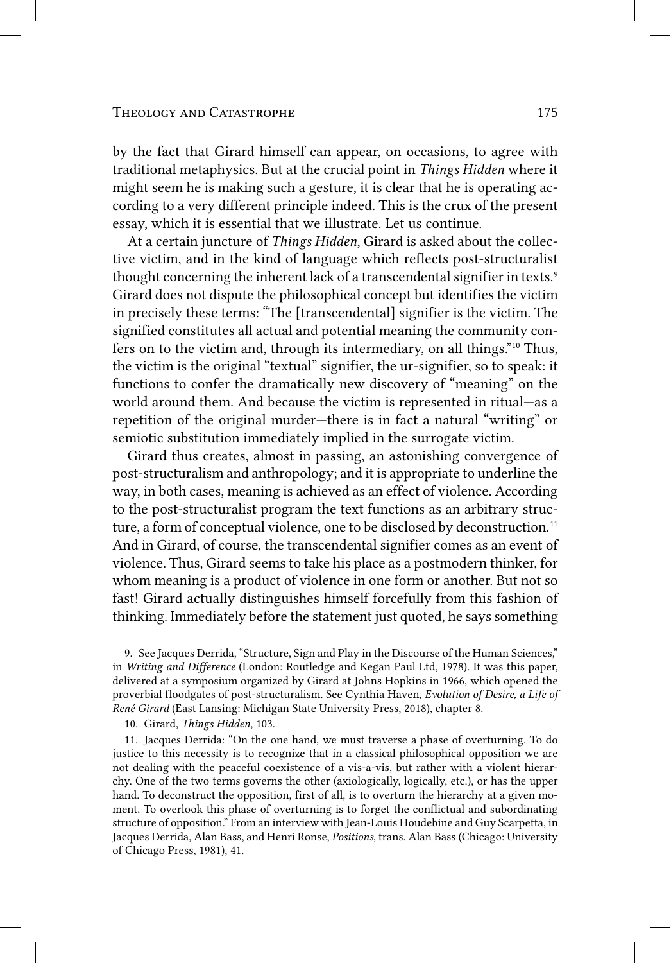#### THEOLOGY AND CATASTROPHE 175

by the fact that Girard himself can appear, on occasions, to agree with traditional metaphysics. But at the crucial point in *Things Hidden* where it might seem he is making such a gesture, it is clear that he is operating according to a very different principle indeed. This is the crux of the present essay, which it is essential that we illustrate. Let us continue.

At a certain juncture of *Things Hidden*, Girard is asked about the collective victim, and in the kind of language which reflects post-structuralist thought concerning the inherent lack of a transcendental signifier in texts.<sup>9</sup> Girard does not dispute the philosophical concept but identifies the victim in precisely these terms: "The [transcendental] signifier is the victim. The signified constitutes all actual and potential meaning the community confers on to the victim and, through its intermediary, on all things." 10 Thus, the victim is the original "textual" signifier, the ur-signifier, so to speak: it functions to confer the dramatically new discovery of "meaning" on the world around them. And because the victim is represented in ritual—as a repetition of the original murder—there is in fact a natural "writing" or semiotic substitution immediately implied in the surrogate victim.

Girard thus creates, almost in passing, an astonishing convergence of post‑structuralism and anthropology; and it is appropriate to underline the way, in both cases, meaning is achieved as an effect of violence. According to the post-structuralist program the text functions as an arbitrary structure, a form of conceptual violence, one to be disclosed by deconstruction. 11 And in Girard, of course, the transcendental signifier comes as an event of violence. Thus, Girard seems to take his place as a postmodern thinker, for whom meaning is a product of violence in one form or another. But not so fast! Girard actually distinguishes himself forcefully from this fashion of thinking. Immediately before the statement just quoted, he says something

9. See Jacques Derrida, "Structure, Sign and Play in the Discourse of the Human Sciences," in *Writing and Difference* (London: Routledge and Kegan Paul Ltd, 1978). It was this paper, delivered at a symposium organized by Girard at Johns Hopkins in 1966, which opened the proverbial floodgates of post‑structuralism. See Cynthia Haven, *Evolution of Desire, a Life of René Girard* (East Lansing: Michigan State University Press, 2018), chapter 8.

10. Girard, *Things Hidden*, 103.

11. Jacques Derrida: "On the one hand, we must traverse a phase of overturning. To do justice to this necessity is to recognize that in a classical philosophical opposition we are not dealing with the peaceful coexistence of a vis-a-vis, but rather with a violent hierarchy. One of the two terms governs the other (axiologically, logically, etc.), or has the upper hand. To deconstruct the opposition, first of all, is to overturn the hierarchy at a given moment. To overlook this phase of overturning is to forget the conflictual and subordinating structure of opposition." From an interview with Jean-Louis Houdebine and Guy Scarpetta, in Jacques Derrida, Alan Bass, and Henri Ronse, *Positions*, trans. Alan Bass (Chicago: University of Chicago Press, 1981), 41.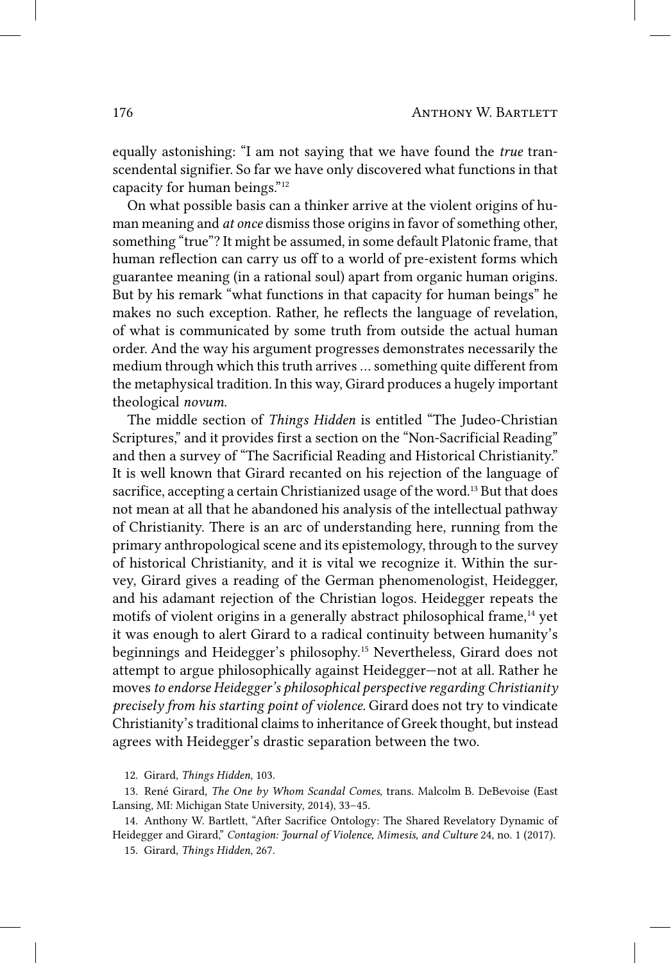equally astonishing: "I am not saying that we have found the *true* transcendental signifier. So far we have only discovered what functions in that capacity for human beings." 12

On what possible basis can a thinker arrive at the violent origins of human meaning and *at once* dismiss those origins in favor of something other, something "true"? It might be assumed, in some default Platonic frame, that human reflection can carry us off to a world of pre-existent forms which guarantee meaning (in a rational soul) apart from organic human origins. But by his remark "what functions in that capacity for human beings" he makes no such exception. Rather, he reflects the language of revelation, of what is communicated by some truth from outside the actual human order. And the way his argument progresses demonstrates necessarily the medium through which this truth arrives … something quite different from the metaphysical tradition. In this way, Girard produces a hugely important theological *novum*.

The middle section of *Things Hidden* is entitled "The Judeo‑Christian Scriptures," and it provides first a section on the "Non-Sacrificial Reading" and then a survey of "The Sacrificial Reading and Historical Christianity." It is well known that Girard recanted on his rejection of the language of sacrifice, accepting a certain Christianized usage of the word.<sup>13</sup> But that does not mean at all that he abandoned his analysis of the intellectual pathway of Christianity. There is an arc of understanding here, running from the primary anthropological scene and its epistemology, through to the survey of historical Christianity, and it is vital we recognize it. Within the survey, Girard gives a reading of the German phenomenologist, Heidegger, and his adamant rejection of the Christian logos. Heidegger repeats the motifs of violent origins in a generally abstract philosophical frame,<sup>14</sup> yet it was enough to alert Girard to a radical continuity between humanity's beginnings and Heidegger's philosophy. 15 Nevertheless, Girard does not attempt to argue philosophically against Heidegger—not at all. Rather he moves *to endorse Heidegger's philosophical perspective regarding Christianity precisely from his starting point of violence.* Girard does not try to vindicate Christianity's traditional claims to inheritance of Greek thought, but instead agrees with Heidegger's drastic separation between the two.

14. Anthony W. Bartlett, "After Sacrifice Ontology: The Shared Revelatory Dynamic of Heidegger and Girard," *Contagion: Journal of Violence, Mimesis, and Culture* 24, no. 1 (2017).

<sup>12.</sup> Girard, *Things Hidden*, 103.

<sup>13.</sup> René Girard, *The One by Whom Scandal Comes*, trans. Malcolm B. DeBevoise (East Lansing, MI: Michigan State University, 2014), 33–45.

<sup>15.</sup> Girard, *Things Hidden*, 267.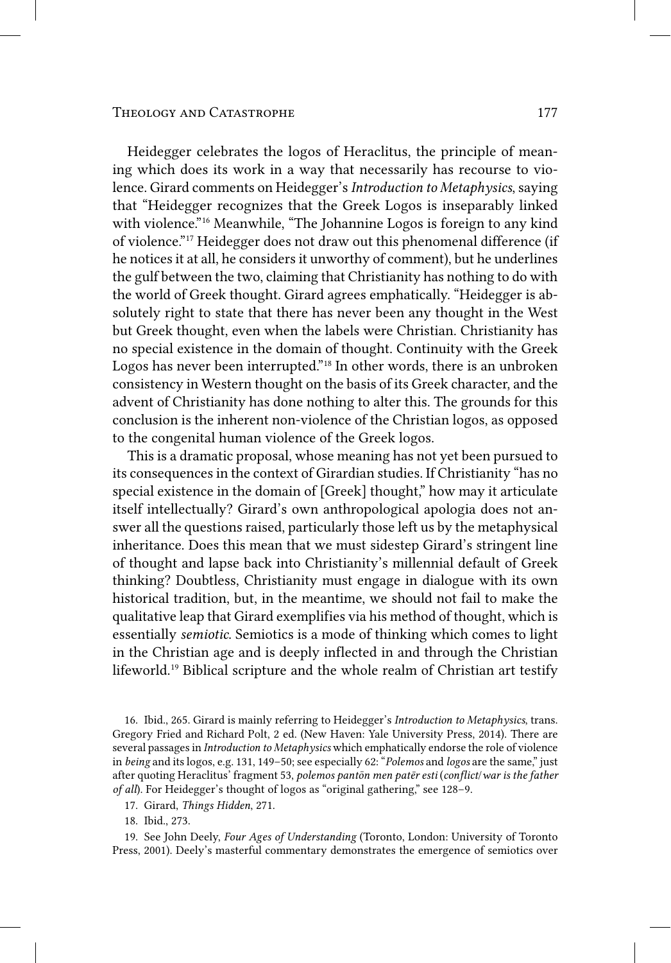### Theology and Catastrophe 177

Heidegger celebrates the logos of Heraclitus, the principle of meaning which does its work in a way that necessarily has recourse to violence. Girard comments on Heidegger's *Introduction to Metaphysics*, saying that "Heidegger recognizes that the Greek Logos is inseparably linked with violence."<sup>16</sup> Meanwhile, "The Johannine Logos is foreign to any kind of violence." 17 Heidegger does not draw out this phenomenal difference (if he notices it at all, he considers it unworthy of comment), but he underlines the gulf between the two, claiming that Christianity has nothing to do with the world of Greek thought. Girard agrees emphatically. "Heidegger is absolutely right to state that there has never been any thought in the West but Greek thought, even when the labels were Christian. Christianity has no special existence in the domain of thought. Continuity with the Greek Logos has never been interrupted."<sup>18</sup> In other words, there is an unbroken consistency in Western thought on the basis of its Greek character, and the advent of Christianity has done nothing to alter this. The grounds for this conclusion is the inherent non‑violence of the Christian logos, as opposed to the congenital human violence of the Greek logos.

This is a dramatic proposal, whose meaning has not yet been pursued to its consequences in the context of Girardian studies. If Christianity "has no special existence in the domain of [Greek] thought," how may it articulate itself intellectually? Girard's own anthropological apologia does not answer all the questions raised, particularly those left us by the metaphysical inheritance. Does this mean that we must sidestep Girard's stringent line of thought and lapse back into Christianity's millennial default of Greek thinking? Doubtless, Christianity must engage in dialogue with its own historical tradition, but, in the meantime, we should not fail to make the qualitative leap that Girard exemplifies via his method of thought, which is essentially *semiotic*. Semiotics is a mode of thinking which comes to light in the Christian age and is deeply inflected in and through the Christian lifeworld. 19 Biblical scripture and the whole realm of Christian art testify

17. Girard, *Things Hidden*, 271.

18. Ibid., 273.

19. See John Deely, *Four Ages of Understanding* (Toronto, London: University of Toronto Press, 2001). Deely's masterful commentary demonstrates the emergence of semiotics over

<sup>16.</sup> Ibid., 265. Girard is mainly referring to Heidegger's *Introduction to Metaphysics*, trans. Gregory Fried and Richard Polt, 2 ed. (New Haven: Yale University Press, 2014). There are several passages in *Introduction to Metaphysics* which emphatically endorse the role of violence in *being* and its logos, e.g. 131, 149–50; see especially 62: "*Polemos* and *logos* are the same," just after quoting Heraclitus' fragment 53, *polemos pantōn men patēr esti* (*conflict*/*war is the father of all*). For Heidegger's thought of logos as "original gathering," see 128–9.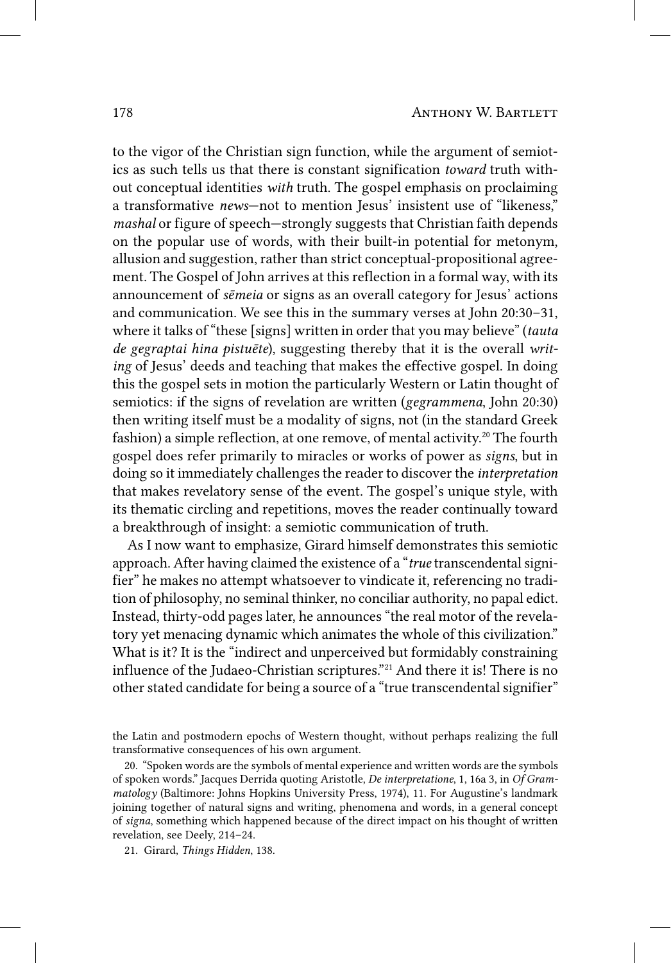to the vigor of the Christian sign function, while the argument of semiotics as such tells us that there is constant signification *toward* truth without conceptual identities *with* truth. The gospel emphasis on proclaiming a transformative *news*—not to mention Jesus' insistent use of "likeness," *mashal* or figure of speech—strongly suggests that Christian faith depends on the popular use of words, with their built‑in potential for metonym, allusion and suggestion, rather than strict conceptual-propositional agreement. The Gospel of John arrives at this reflection in a formal way, with its announcement of *sēmeia* or signs as an overall category for Jesus' actions and communication. We see this in the summary verses at John 20:30–31, where it talks of "these [signs] written in order that you may believe" (*tauta de gegraptai hina pistuēte*), suggesting thereby that it is the overall *writing* of Jesus' deeds and teaching that makes the effective gospel. In doing this the gospel sets in motion the particularly Western or Latin thought of semiotics: if the signs of revelation are written (*gegrammena*, John 20:30) then writing itself must be a modality of signs, not (in the standard Greek fashion) a simple reflection, at one remove, of mental activity.<sup>20</sup> The fourth gospel does refer primarily to miracles or works of power as *signs*, but in doing so it immediately challenges the reader to discover the *interpretation* that makes revelatory sense of the event. The gospel's unique style, with its thematic circling and repetitions, moves the reader continually toward a breakthrough of insight: a semiotic communication of truth.

As I now want to emphasize, Girard himself demonstrates this semiotic approach. After having claimed the existence of a "*true* transcendental signifier" he makes no attempt whatsoever to vindicate it, referencing no tradition of philosophy, no seminal thinker, no conciliar authority, no papal edict. Instead, thirty-odd pages later, he announces "the real motor of the revelatory yet menacing dynamic which animates the whole of this civilization." What is it? It is the "indirect and unperceived but formidably constraining influence of the Judaeo-Christian scriptures."<sup>21</sup> And there it is! There is no other stated candidate for being a source of a "true transcendental signifier"

the Latin and postmodern epochs of Western thought, without perhaps realizing the full transformative consequences of his own argument.

<sup>20. &</sup>quot;Spoken words are the symbols of mental experience and written words are the symbols of spoken words." Jacques Derrida quoting Aristotle, *De interpretatione*, 1, 16a 3, in *Of Grammatology* (Baltimore: Johns Hopkins University Press, 1974), 11. For Augustine's landmark joining together of natural signs and writing, phenomena and words, in a general concept of *signa*, something which happened because of the direct impact on his thought of written revelation, see Deely, 214–24.

<sup>21.</sup> Girard, *Things Hidden*, 138.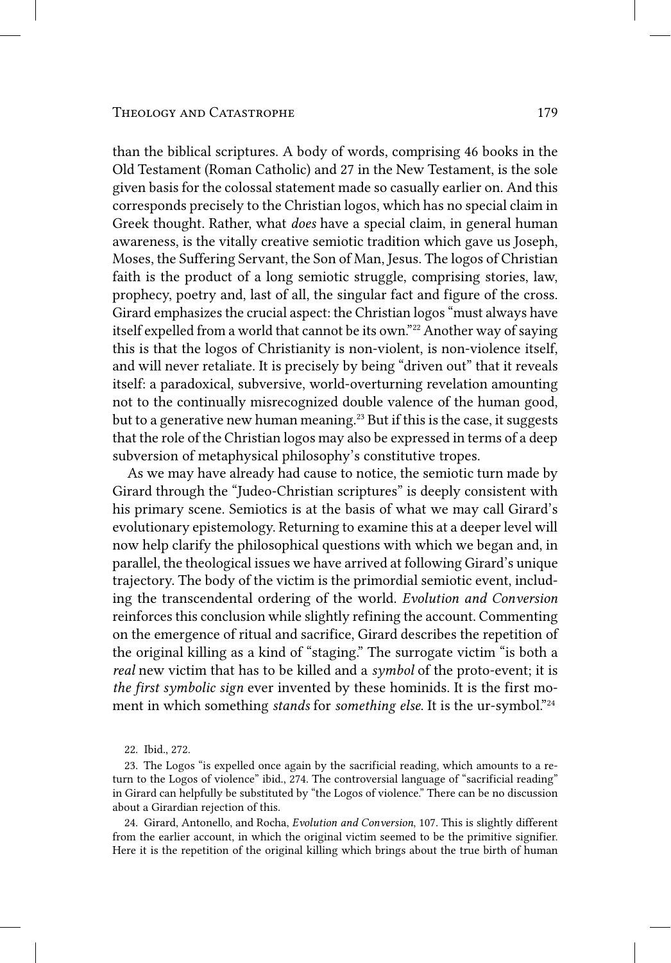than the biblical scriptures. A body of words, comprising 46 books in the Old Testament (Roman Catholic) and 27 in the New Testament, is the sole given basis for the colossal statement made so casually earlier on. And this corresponds precisely to the Christian logos, which has no special claim in Greek thought. Rather, what *does* have a special claim, in general human awareness, is the vitally creative semiotic tradition which gave us Joseph, Moses, the Suffering Servant, the Son of Man, Jesus. The logos of Christian faith is the product of a long semiotic struggle, comprising stories, law, prophecy, poetry and, last of all, the singular fact and figure of the cross. Girard emphasizes the crucial aspect: the Christian logos "must always have itself expelled from a world that cannot be its own." 22 Another way of saying this is that the logos of Christianity is non‑violent, is non‑violence itself, and will never retaliate. It is precisely by being "driven out" that it reveals itself: a paradoxical, subversive, world‑overturning revelation amounting not to the continually misrecognized double valence of the human good, but to a generative new human meaning. 23 But if this is the case, it suggests that the role of the Christian logos may also be expressed in terms of a deep subversion of metaphysical philosophy's constitutive tropes.

As we may have already had cause to notice, the semiotic turn made by Girard through the "Judeo‑Christian scriptures" is deeply consistent with his primary scene. Semiotics is at the basis of what we may call Girard's evolutionary epistemology. Returning to examine this at a deeper level will now help clarify the philosophical questions with which we began and, in parallel, the theological issues we have arrived at following Girard's unique trajectory. The body of the victim is the primordial semiotic event, including the transcendental ordering of the world. *Evolution and Conversion* reinforces this conclusion while slightly refining the account. Commenting on the emergence of ritual and sacrifice, Girard describes the repetition of the original killing as a kind of "staging." The surrogate victim "is both a *real* new victim that has to be killed and a *symbol* of the proto-event; it is *the first symbolic sign* ever invented by these hominids. It is the first moment in which something *stands* for *something else*. It is the ur-symbol."<sup>24</sup>

24. Girard, Antonello, and Rocha, *Evolution and Conversion*, 107. This is slightly different from the earlier account, in which the original victim seemed to be the primitive signifier. Here it is the repetition of the original killing which brings about the true birth of human

<sup>22.</sup> Ibid., 272.

<sup>23.</sup> The Logos "is expelled once again by the sacrificial reading, which amounts to a return to the Logos of violence" ibid., 274. The controversial language of "sacrificial reading" in Girard can helpfully be substituted by "the Logos of violence." There can be no discussion about a Girardian rejection of this.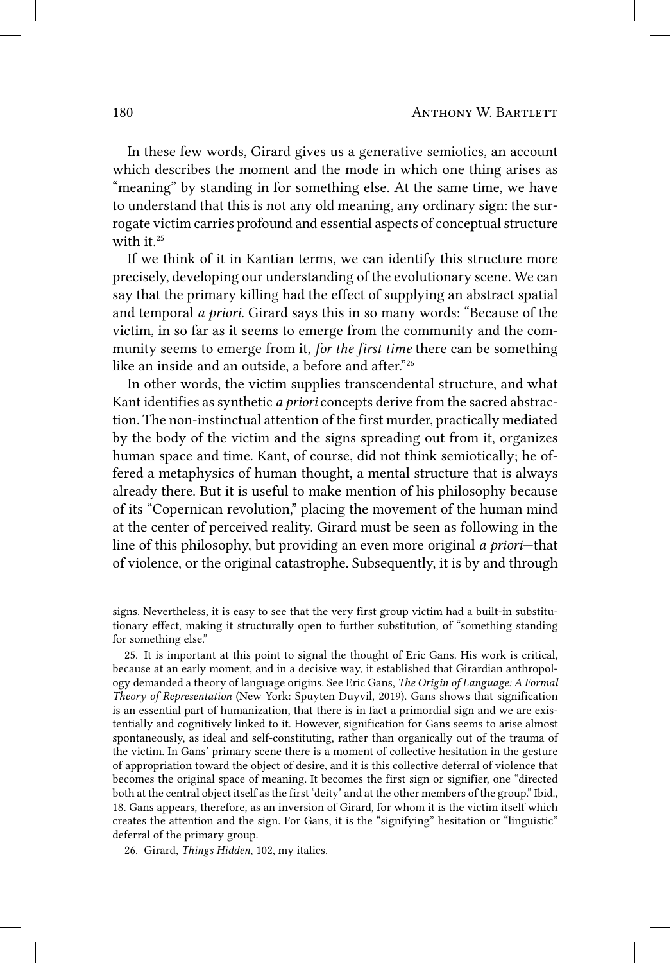In these few words, Girard gives us a generative semiotics, an account which describes the moment and the mode in which one thing arises as "meaning" by standing in for something else. At the same time, we have to understand that this is not any old meaning, any ordinary sign: the surrogate victim carries profound and essential aspects of conceptual structure with it. $25$ 

If we think of it in Kantian terms, we can identify this structure more precisely, developing our understanding of the evolutionary scene. We can say that the primary killing had the effect of supplying an abstract spatial and temporal *a priori*. Girard says this in so many words: "Because of the victim, in so far as it seems to emerge from the community and the community seems to emerge from it, *for the first time* there can be something like an inside and an outside, a before and after."<sup>26</sup>

In other words, the victim supplies transcendental structure, and what Kant identifies as synthetic *a priori* concepts derive from the sacred abstraction. The non‑instinctual attention of the first murder, practically mediated by the body of the victim and the signs spreading out from it, organizes human space and time. Kant, of course, did not think semiotically; he offered a metaphysics of human thought, a mental structure that is always already there. But it is useful to make mention of his philosophy because of its "Copernican revolution," placing the movement of the human mind at the center of perceived reality. Girard must be seen as following in the line of this philosophy, but providing an even more original *a priori*—that of violence, or the original catastrophe. Subsequently, it is by and through

signs. Nevertheless, it is easy to see that the very first group victim had a built-in substitutionary effect, making it structurally open to further substitution, of "something standing for something else."

25. It is important at this point to signal the thought of Eric Gans. His work is critical, because at an early moment, and in a decisive way, it established that Girardian anthropology demanded a theory of language origins. See Eric Gans, *The Origin of Language: A Formal Theory of Representation* (New York: Spuyten Duyvil, 2019). Gans shows that signification is an essential part of humanization, that there is in fact a primordial sign and we are existentially and cognitively linked to it. However, signification for Gans seems to arise almost spontaneously, as ideal and self-constituting, rather than organically out of the trauma of the victim. In Gans' primary scene there is a moment of collective hesitation in the gesture of appropriation toward the object of desire, and it is this collective deferral of violence that becomes the original space of meaning. It becomes the first sign or signifier, one "directed both at the central object itself as the first 'deity' and at the other members of the group." Ibid., 18. Gans appears, therefore, as an inversion of Girard, for whom it is the victim itself which creates the attention and the sign. For Gans, it is the "signifying" hesitation or "linguistic" deferral of the primary group.

26. Girard, *Things Hidden*, 102, my italics.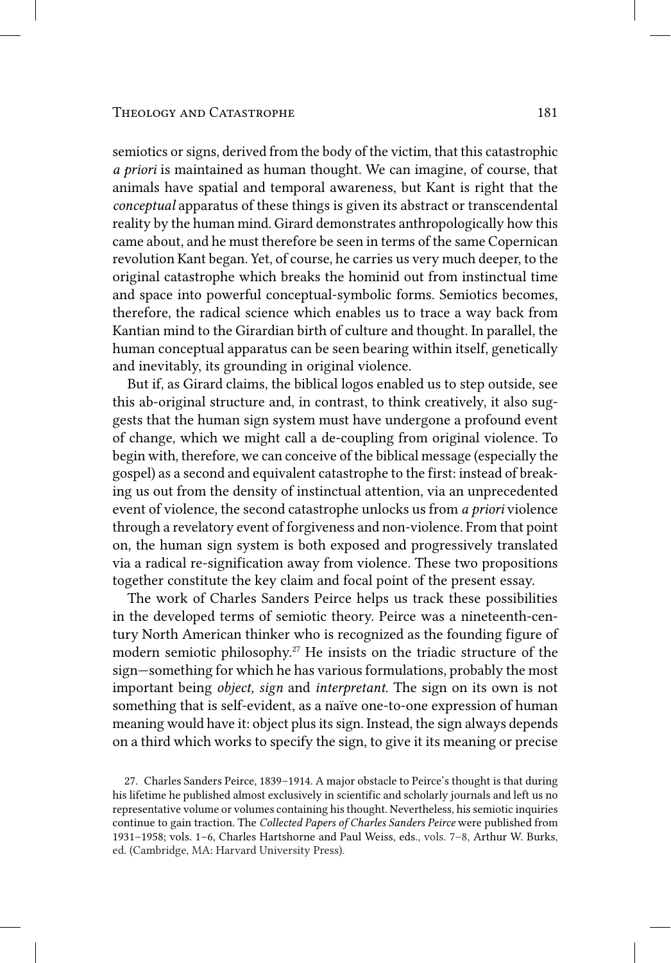semiotics or signs, derived from the body of the victim, that this catastrophic *a priori* is maintained as human thought. We can imagine, of course, that animals have spatial and temporal awareness, but Kant is right that the *conceptual* apparatus of these things is given its abstract or transcendental reality by the human mind. Girard demonstrates anthropologically how this came about, and he must therefore be seen in terms of the same Copernican revolution Kant began. Yet, of course, he carries us very much deeper, to the original catastrophe which breaks the hominid out from instinctual time and space into powerful conceptual‑symbolic forms. Semiotics becomes, therefore, the radical science which enables us to trace a way back from Kantian mind to the Girardian birth of culture and thought. In parallel, the human conceptual apparatus can be seen bearing within itself, genetically and inevitably, its grounding in original violence.

But if, as Girard claims, the biblical logos enabled us to step outside, see this ab-original structure and, in contrast, to think creatively, it also suggests that the human sign system must have undergone a profound event of change, which we might call a de‑coupling from original violence. To begin with, therefore, we can conceive of the biblical message (especially the gospel) as a second and equivalent catastrophe to the first: instead of breaking us out from the density of instinctual attention, via an unprecedented event of violence, the second catastrophe unlocks us from *a priori* violence through a revelatory event of forgiveness and non‑violence. From that point on, the human sign system is both exposed and progressively translated via a radical re‑signification away from violence. These two propositions together constitute the key claim and focal point of the present essay.

The work of Charles Sanders Peirce helps us track these possibilities in the developed terms of semiotic theory. Peirce was a nineteenth-century North American thinker who is recognized as the founding figure of modern semiotic philosophy. 27 He insists on the triadic structure of the sign—something for which he has various formulations, probably the most important being *object, sign* and *interpretant*. The sign on its own is not something that is self-evident, as a naïve one-to-one expression of human meaning would have it: object plus its sign. Instead, the sign always depends on a third which works to specify the sign, to give it its meaning or precise

<sup>27.</sup> Charles Sanders Peirce, 1839–1914. A major obstacle to Peirce's thought is that during his lifetime he published almost exclusively in scientific and scholarly journals and left us no representative volume or volumes containing his thought. Nevertheless, his semiotic inquiries continue to gain traction. The *Collected Papers of Charles Sanders Peirce* were published from 1931–1958; vols. 1–6, Charles Hartshorne and Paul Weiss, eds., vols. 7–8, Arthur W. Burks, ed. (Cambridge, MA: Harvard University Press).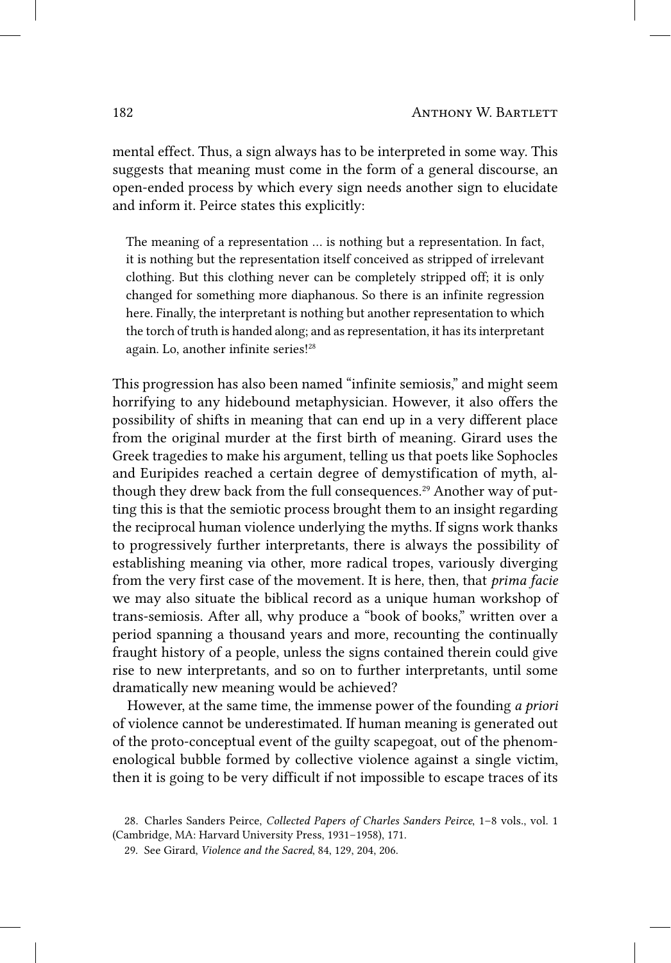mental effect. Thus, a sign always has to be interpreted in some way. This suggests that meaning must come in the form of a general discourse, an open‑ended process by which every sign needs another sign to elucidate and inform it. Peirce states this explicitly:

The meaning of a representation … is nothing but a representation. In fact, it is nothing but the representation itself conceived as stripped of irrelevant clothing. But this clothing never can be completely stripped off; it is only changed for something more diaphanous. So there is an infinite regression here. Finally, the interpretant is nothing but another representation to which the torch of truth is handed along; and as representation, it has its interpretant again. Lo, another infinite series! 28

This progression has also been named "infinite semiosis," and might seem horrifying to any hidebound metaphysician. However, it also offers the possibility of shifts in meaning that can end up in a very different place from the original murder at the first birth of meaning. Girard uses the Greek tragedies to make his argument, telling us that poets like Sophocles and Euripides reached a certain degree of demystification of myth, although they drew back from the full consequences. 29 Another way of putting this is that the semiotic process brought them to an insight regarding the reciprocal human violence underlying the myths. If signs work thanks to progressively further interpretants, there is always the possibility of establishing meaning via other, more radical tropes, variously diverging from the very first case of the movement. It is here, then, that *prima facie* we may also situate the biblical record as a unique human workshop of trans‑semiosis. After all, why produce a "book of books," written over a period spanning a thousand years and more, recounting the continually fraught history of a people, unless the signs contained therein could give rise to new interpretants, and so on to further interpretants, until some dramatically new meaning would be achieved?

However, at the same time, the immense power of the founding *a priori* of violence cannot be underestimated. If human meaning is generated out of the proto‑conceptual event of the guilty scapegoat, out of the phenomenological bubble formed by collective violence against a single victim, then it is going to be very difficult if not impossible to escape traces of its

<sup>28.</sup> Charles Sanders Peirce, *Collected Papers of Charles Sanders Peirce*, 1–8 vols., vol. 1 (Cambridge, MA: Harvard University Press, 1931–1958), 171.

<sup>29.</sup> See Girard, *Violence and the Sacred*, 84, 129, 204, 206.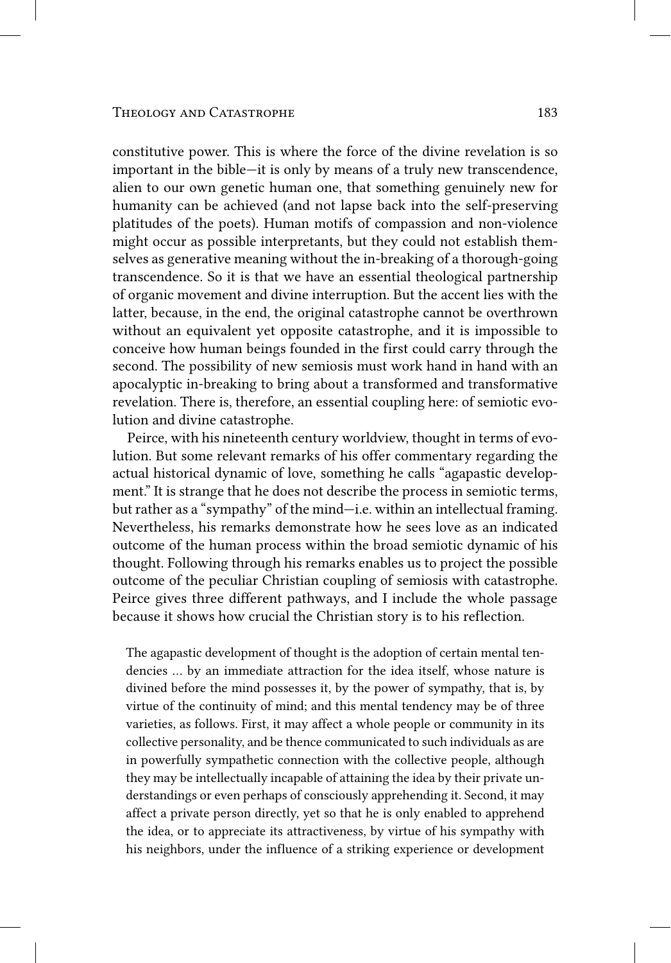constitutive power. This is where the force of the divine revelation is so important in the bible—it is only by means of a truly new transcendence, alien to our own genetic human one, that something genuinely new for humanity can be achieved (and not lapse back into the self-preserving platitudes of the poets). Human motifs of compassion and non‑violence might occur as possible interpretants, but they could not establish themselves as generative meaning without the in-breaking of a thorough-going transcendence. So it is that we have an essential theological partnership of organic movement and divine interruption. But the accent lies with the latter, because, in the end, the original catastrophe cannot be overthrown without an equivalent yet opposite catastrophe, and it is impossible to conceive how human beings founded in the first could carry through the second. The possibility of new semiosis must work hand in hand with an apocalyptic in‑breaking to bring about a transformed and transformative revelation. There is, therefore, an essential coupling here: of semiotic evolution and divine catastrophe.

Peirce, with his nineteenth century worldview, thought in terms of evolution. But some relevant remarks of his offer commentary regarding the actual historical dynamic of love, something he calls "agapastic development." It is strange that he does not describe the process in semiotic terms, but rather as a "sympathy" of the mind—i.e. within an intellectual framing. Nevertheless, his remarks demonstrate how he sees love as an indicated outcome of the human process within the broad semiotic dynamic of his thought. Following through his remarks enables us to project the possible outcome of the peculiar Christian coupling of semiosis with catastrophe. Peirce gives three different pathways, and I include the whole passage because it shows how crucial the Christian story is to his reflection.

The agapastic development of thought is the adoption of certain mental tendencies … by an immediate attraction for the idea itself, whose nature is divined before the mind possesses it, by the power of sympathy, that is, by virtue of the continuity of mind; and this mental tendency may be of three varieties, as follows. First, it may affect a whole people or community in its collective personality, and be thence communicated to such individuals as are in powerfully sympathetic connection with the collective people, although they may be intellectually incapable of attaining the idea by their private understandings or even perhaps of consciously apprehending it. Second, it may affect a private person directly, yet so that he is only enabled to apprehend the idea, or to appreciate its attractiveness, by virtue of his sympathy with his neighbors, under the influence of a striking experience or development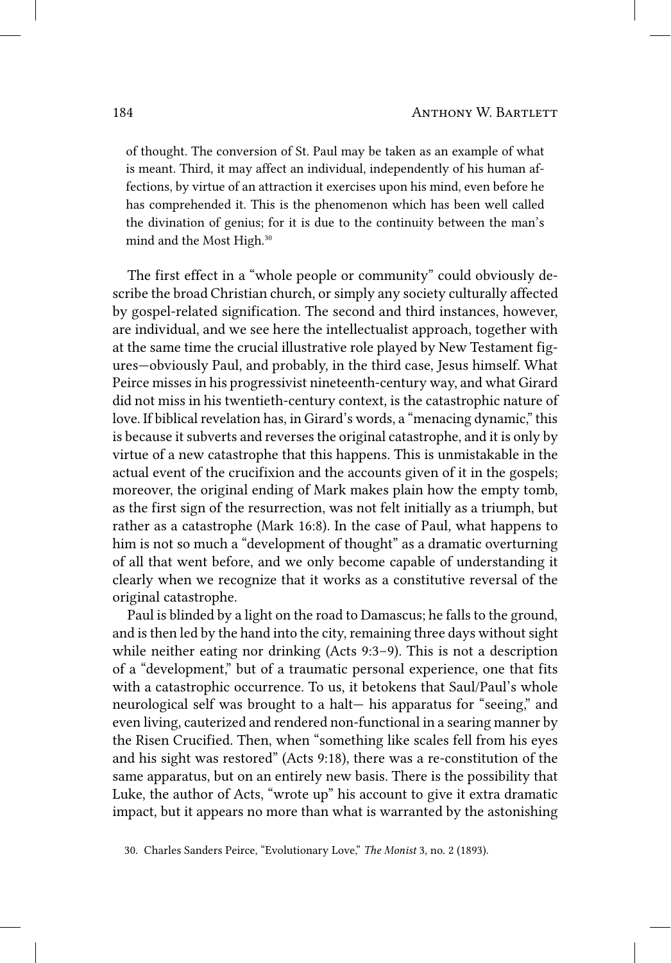of thought. The conversion of St. Paul may be taken as an example of what is meant. Third, it may affect an individual, independently of his human affections, by virtue of an attraction it exercises upon his mind, even before he has comprehended it. This is the phenomenon which has been well called the divination of genius; for it is due to the continuity between the man's mind and the Most High. 30

The first effect in a "whole people or community" could obviously describe the broad Christian church, or simply any society culturally affected by gospel-related signification. The second and third instances, however, are individual, and we see here the intellectualist approach, together with at the same time the crucial illustrative role played by New Testament figures—obviously Paul, and probably, in the third case, Jesus himself. What Peirce misses in his progressivist nineteenth‑century way, and what Girard did not miss in his twentieth-century context, is the catastrophic nature of love. If biblical revelation has, in Girard's words, a "menacing dynamic," this is because it subverts and reverses the original catastrophe, and it is only by virtue of a new catastrophe that this happens. This is unmistakable in the actual event of the crucifixion and the accounts given of it in the gospels; moreover, the original ending of Mark makes plain how the empty tomb, as the first sign of the resurrection, was not felt initially as a triumph, but rather as a catastrophe (Mark 16:8). In the case of Paul, what happens to him is not so much a "development of thought" as a dramatic overturning of all that went before, and we only become capable of understanding it clearly when we recognize that it works as a constitutive reversal of the original catastrophe.

Paul is blinded by a light on the road to Damascus; he falls to the ground, and is then led by the hand into the city, remaining three days without sight while neither eating nor drinking (Acts 9:3–9). This is not a description of a "development," but of a traumatic personal experience, one that fits with a catastrophic occurrence. To us, it betokens that Saul/Paul's whole neurological self was brought to a halt— his apparatus for "seeing," and even living, cauterized and rendered non-functional in a searing manner by the Risen Crucified. Then, when "something like scales fell from his eyes and his sight was restored" (Acts 9:18), there was a re‑constitution of the same apparatus, but on an entirely new basis. There is the possibility that Luke, the author of Acts, "wrote up" his account to give it extra dramatic impact, but it appears no more than what is warranted by the astonishing

<sup>30.</sup> Charles Sanders Peirce, "Evolutionary Love," *The Monist* 3, no. 2 (1893).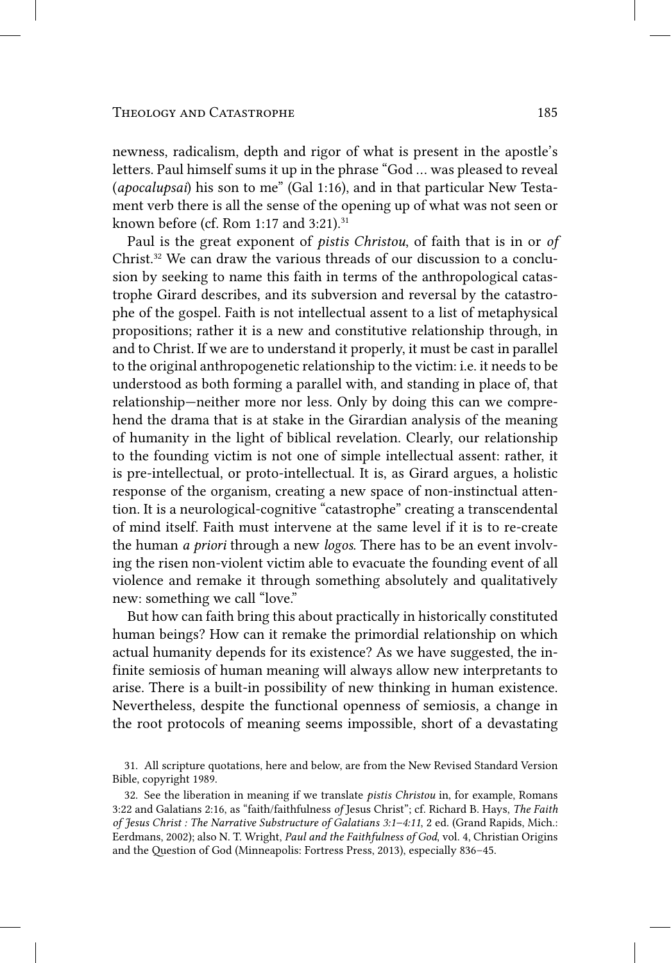### THEOLOGY AND CATASTROPHE 185

newness, radicalism, depth and rigor of what is present in the apostle's letters. Paul himself sums it up in the phrase "God … was pleased to reveal (*apocalupsai*) his son to me" (Gal 1:16), and in that particular New Testament verb there is all the sense of the opening up of what was not seen or known before (cf. Rom 1:17 and 3:21). 31

Paul is the great exponent of *pistis Christou*, of faith that is in or *of* Christ. 32 We can draw the various threads of our discussion to a conclusion by seeking to name this faith in terms of the anthropological catastrophe Girard describes, and its subversion and reversal by the catastrophe of the gospel. Faith is not intellectual assent to a list of metaphysical propositions; rather it is a new and constitutive relationship through, in and to Christ. If we are to understand it properly, it must be cast in parallel to the original anthropogenetic relationship to the victim: i.e. it needs to be understood as both forming a parallel with, and standing in place of, that relationship—neither more nor less. Only by doing this can we comprehend the drama that is at stake in the Girardian analysis of the meaning of humanity in the light of biblical revelation. Clearly, our relationship to the founding victim is not one of simple intellectual assent: rather, it is pre‑intellectual, or proto‑intellectual. It is, as Girard argues, a holistic response of the organism, creating a new space of non‑instinctual attention. It is a neurological‑cognitive "catastrophe" creating a transcendental of mind itself. Faith must intervene at the same level if it is to re‑create the human *a priori* through a new *logos*. There has to be an event involving the risen non‑violent victim able to evacuate the founding event of all violence and remake it through something absolutely and qualitatively new: something we call "love."

But how can faith bring this about practically in historically constituted human beings? How can it remake the primordial relationship on which actual humanity depends for its existence? As we have suggested, the infinite semiosis of human meaning will always allow new interpretants to arise. There is a built-in possibility of new thinking in human existence. Nevertheless, despite the functional openness of semiosis, a change in the root protocols of meaning seems impossible, short of a devastating

<sup>31.</sup> All scripture quotations, here and below, are from the New Revised Standard Version Bible, copyright 1989.

<sup>32.</sup> See the liberation in meaning if we translate *pistis Christou* in, for example, Romans 3:22 and Galatians 2:16, as "faith/faithfulness *of* Jesus Christ"; cf. Richard B. Hays, *The Faith of Jesus Christ : The Narrative Substructure of Galatians 3:1–4:11*, 2 ed. (Grand Rapids, Mich.: Eerdmans, 2002); also N. T. Wright, *Paul and the Faithfulness of God*, vol. 4, Christian Origins and the Question of God (Minneapolis: Fortress Press, 2013), especially 836–45.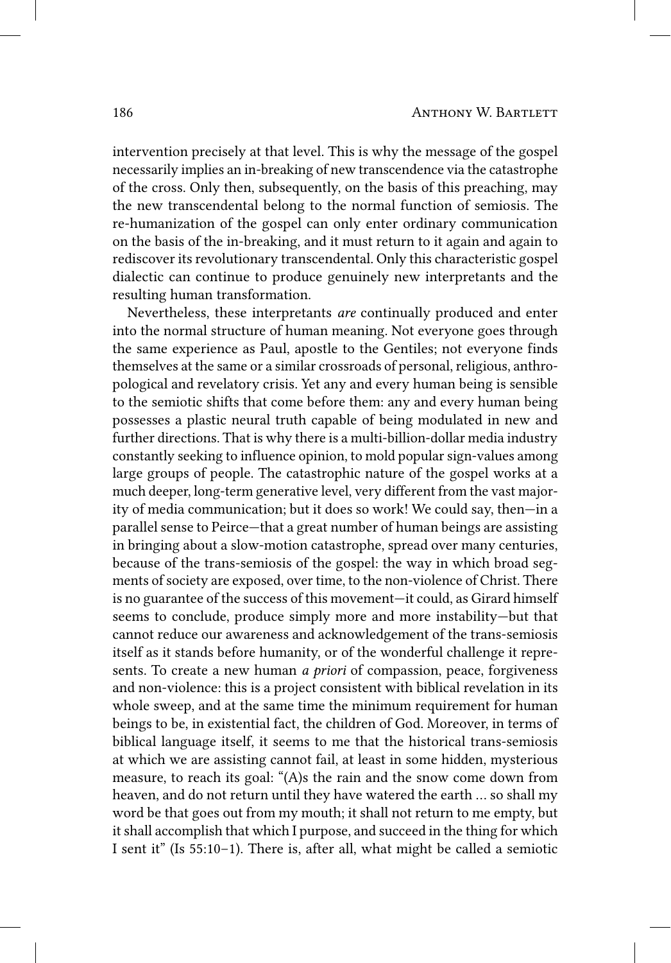intervention precisely at that level. This is why the message of the gospel necessarily implies an in‑breaking of new transcendence via the catastrophe of the cross. Only then, subsequently, on the basis of this preaching, may the new transcendental belong to the normal function of semiosis. The re-humanization of the gospel can only enter ordinary communication on the basis of the in‑breaking, and it must return to it again and again to rediscover its revolutionary transcendental. Only this characteristic gospel dialectic can continue to produce genuinely new interpretants and the resulting human transformation.

Nevertheless, these interpretants *are* continually produced and enter into the normal structure of human meaning. Not everyone goes through the same experience as Paul, apostle to the Gentiles; not everyone finds themselves at the same or a similar crossroads of personal, religious, anthropological and revelatory crisis. Yet any and every human being is sensible to the semiotic shifts that come before them: any and every human being possesses a plastic neural truth capable of being modulated in new and further directions. That is why there is a multi-billion-dollar media industry constantly seeking to influence opinion, to mold popular sign-values among large groups of people. The catastrophic nature of the gospel works at a much deeper, long-term generative level, very different from the vast majority of media communication; but it does so work! We could say, then—in a parallel sense to Peirce—that a great number of human beings are assisting in bringing about a slow-motion catastrophe, spread over many centuries, because of the trans‑semiosis of the gospel: the way in which broad segments of society are exposed, over time, to the non‑violence of Christ. There is no guarantee of the success of this movement—it could, as Girard himself seems to conclude, produce simply more and more instability—but that cannot reduce our awareness and acknowledgement of the trans-semiosis itself as it stands before humanity, or of the wonderful challenge it represents. To create a new human *a priori* of compassion, peace, forgiveness and non‑violence: this is a project consistent with biblical revelation in its whole sweep, and at the same time the minimum requirement for human beings to be, in existential fact, the children of God. Moreover, in terms of biblical language itself, it seems to me that the historical trans-semiosis at which we are assisting cannot fail, at least in some hidden, mysterious measure, to reach its goal: "(A)s the rain and the snow come down from heaven, and do not return until they have watered the earth … so shall my word be that goes out from my mouth; it shall not return to me empty, but it shall accomplish that which I purpose, and succeed in the thing for which I sent it" (Is 55:10–1). There is, after all, what might be called a semiotic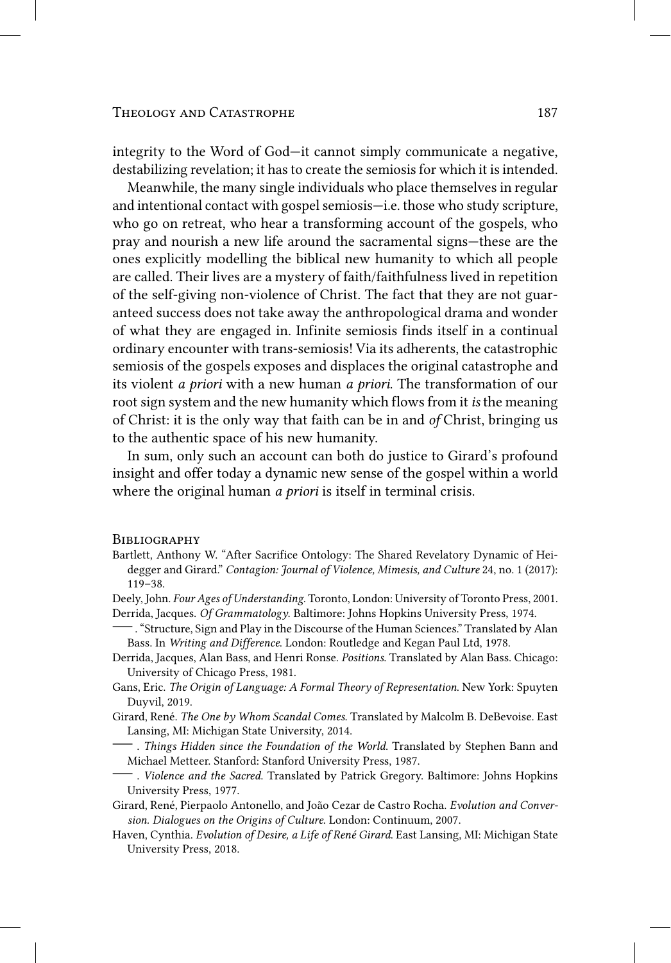integrity to the Word of God—it cannot simply communicate a negative, destabilizing revelation; it has to create the semiosis for which it is intended.

Meanwhile, the many single individuals who place themselves in regular and intentional contact with gospel semiosis—i.e. those who study scripture, who go on retreat, who hear a transforming account of the gospels, who pray and nourish a new life around the sacramental signs—these are the ones explicitly modelling the biblical new humanity to which all people are called. Their lives are a mystery of faith/faithfulness lived in repetition of the self‑giving non‑violence of Christ. The fact that they are not guaranteed success does not take away the anthropological drama and wonder of what they are engaged in. Infinite semiosis finds itself in a continual ordinary encounter with trans‑semiosis! Via its adherents, the catastrophic semiosis of the gospels exposes and displaces the original catastrophe and its violent *a priori* with a new human *a priori*. The transformation of our root sign system and the new humanity which flows from it *is* the meaning of Christ: it is the only way that faith can be in and *of* Christ, bringing us to the authentic space of his new humanity.

In sum, only such an account can both do justice to Girard's profound insight and offer today a dynamic new sense of the gospel within a world where the original human *a priori* is itself in terminal crisis.

#### **BIBLIOGRAPHY**

- Bartlett, Anthony W. "After Sacrifice Ontology: The Shared Revelatory Dynamic of Heidegger and Girard." *Contagion: Journal of Violence, Mimesis, and Culture* 24, no. 1 (2017): 119–38.
- Deely, John. *Four Ages of Understanding*. Toronto, London: University of Toronto Press, 2001. Derrida, Jacques. *Of Grammatology*. Baltimore: Johns Hopkins University Press, 1974.
- —. "Structure, Sign and Play in the Discourse of the Human Sciences." Translated by Alan Bass. In *Writing and Difference*. London: Routledge and Kegan Paul Ltd, 1978.
- Derrida, Jacques, Alan Bass, and Henri Ronse. *Positions*. Translated by Alan Bass. Chicago: University of Chicago Press, 1981.
- Gans, Eric. *The Origin of Language: A Formal Theory of Representation*. New York: Spuyten Duyvil, 2019.
- Girard, René. *The One by Whom Scandal Comes*. Translated by Malcolm B. DeBevoise. East Lansing, MI: Michigan State University, 2014.
- . *Things Hidden since the Foundation of the World*. Translated by Stephen Bann and Michael Metteer. Stanford: Stanford University Press, 1987.
- . *Violence and the Sacred*. Translated by Patrick Gregory. Baltimore: Johns Hopkins University Press, 1977.
- Girard, René, Pierpaolo Antonello, and João Cezar de Castro Rocha. *Evolution and Conversion. Dialogues on the Origins of Culture*. London: Continuum, 2007.
- Haven, Cynthia. *Evolution of Desire, a Life of René Girard*. East Lansing, MI: Michigan State University Press, 2018.